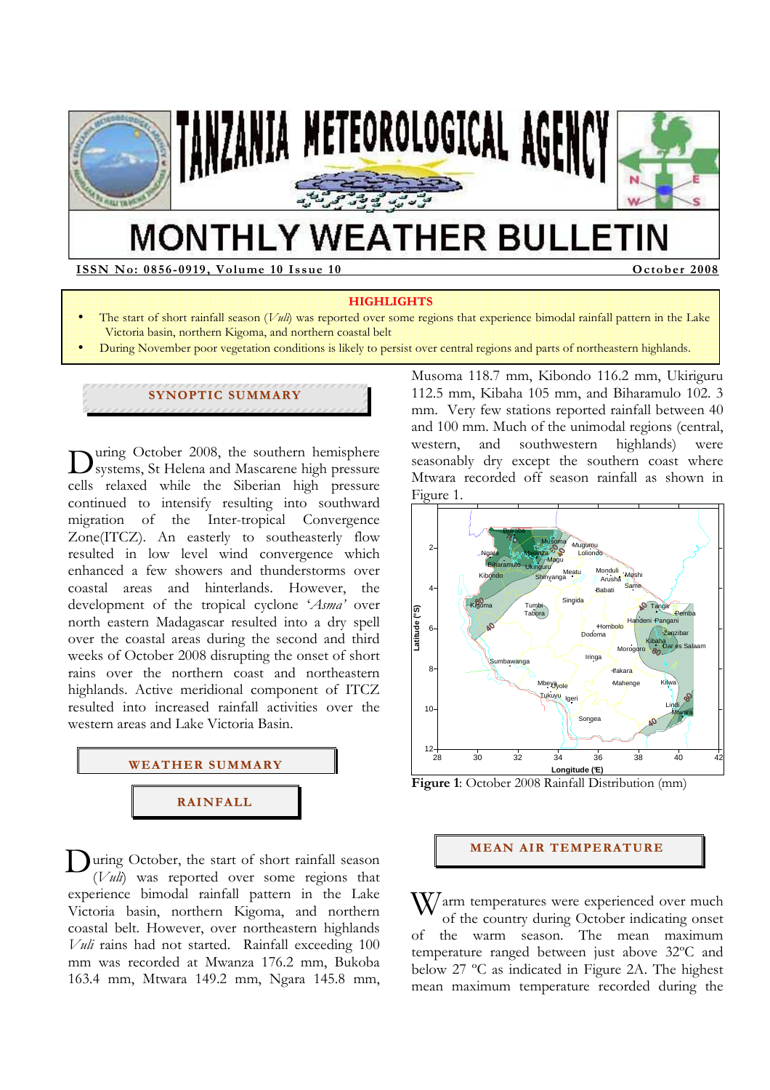

# **MONTHLY WEATHER BULLETIN**

**ISSN No: 08 56-09 19, Volume 10 Issue 10 October 2008** 

• .

#### **HIGHLIGHTS**

- The start of short rainfall season (*Vuli*) was reported over some regions that experience bimodal rainfall pattern in the Lake Victoria basin, northern Kigoma, and northern coastal belt
- During November poor vegetation conditions is likely to persist over central regions and parts of northeastern highlands.

## **SYNOPTIC SUMMARY**

uring October 2008, the southern hemisphere During October 2008, the southern hemisphere<br>systems, St Helena and Mascarene high pressure cells relaxed while the Siberian high pressure continued to intensify resulting into southward migration of the Inter-tropical Convergence Zone(ITCZ). An easterly to southeasterly flow resulted in low level wind convergence which enhanced a few showers and thunderstorms over coastal areas and hinterlands. However, the development of the tropical cyclone '*Asma'* over north eastern Madagascar resulted into a dry spell over the coastal areas during the second and third weeks of October 2008 disrupting the onset of short rains over the northern coast and northeastern highlands. Active meridional component of ITCZ resulted into increased rainfall activities over the western areas and Lake Victoria Basin.



 $\sum_{(V \text{ul})}$  vas reported over some regions that (*Vuli*) was reported over some regions that experience bimodal rainfall pattern in the Lake Victoria basin, northern Kigoma, and northern coastal belt. However, over northeastern highlands *Vuli* rains had not started. Rainfall exceeding 100 mm was recorded at Mwanza 176.2 mm, Bukoba 163.4 mm, Mtwara 149.2 mm, Ngara 145.8 mm,

Musoma 118.7 mm, Kibondo 116.2 mm, Ukiriguru 112.5 mm, Kibaha 105 mm, and Biharamulo 102. 3 mm. Very few stations reported rainfall between 40 and 100 mm. Much of the unimodal regions (central, western, and southwestern highlands) were seasonably dry except the southern coast where Mtwara recorded off season rainfall as shown in Figure 1.



**Figure 1**: October 2008 Rainfall Distribution (mm)

### **MEAN AIR TEMPERATURE**

 $\mathbf{W}$ arm temperatures were experienced over much of the country during October indicating onset of the country during October indicating onset of the warm season. The mean maximum temperature ranged between just above 32ºC and below 27 ºC as indicated in Figure 2A. The highest mean maximum temperature recorded during the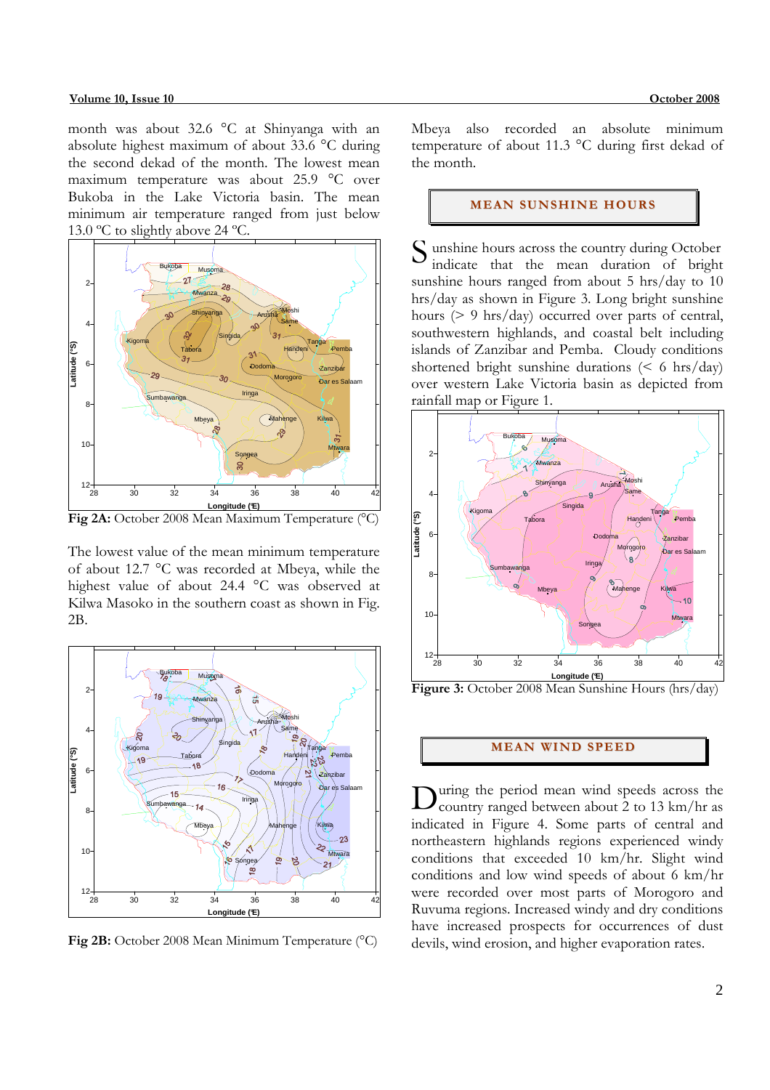month was about 32.6 °C at Shinyanga with an absolute highest maximum of about 33.6 °C during the second dekad of the month. The lowest mean maximum temperature was about 25.9 °C over Bukoba in the Lake Victoria basin. The mean minimum air temperature ranged from just below 13.0 °C to slightly above 24 °C.



The lowest value of the mean minimum temperature of about 12.7 °C was recorded at Mbeya, while the highest value of about 24.4 °C was observed at Kilwa Masoko in the southern coast as shown in Fig. 2B.



**Fig 2B:** October 2008 Mean Minimum Temperature (°C)

Mbeya also recorded an absolute minimum temperature of about 11.3 °C during first dekad of the month.

#### **MEAN SUNSHINE HOURS**

S unshine hours across the country during October<br>indicate that the mean duration of bright indicate that the mean duration of bright sunshine hours ranged from about 5 hrs/day to 10 hrs/day as shown in Figure 3. Long bright sunshine hours (> 9 hrs/day) occurred over parts of central, southwestern highlands, and coastal belt including islands of Zanzibar and Pemba. Cloudy conditions shortened bright sunshine durations  $\leq 6$  hrs/day) over western Lake Victoria basin as depicted from rainfall map or Figure 1.



**Figure 3:** October 2008 Mean Sunshine Hours (hrs/day)

### **MEAN WIND SPEED**

uring the period mean wind speeds across the During the period mean wind speeds across the country ranged between about 2 to 13 km/hr as indicated in Figure 4. Some parts of central and northeastern highlands regions experienced windy conditions that exceeded 10 km/hr. Slight wind conditions and low wind speeds of about 6 km/hr were recorded over most parts of Morogoro and Ruvuma regions. Increased windy and dry conditions have increased prospects for occurrences of dust devils, wind erosion, and higher evaporation rates.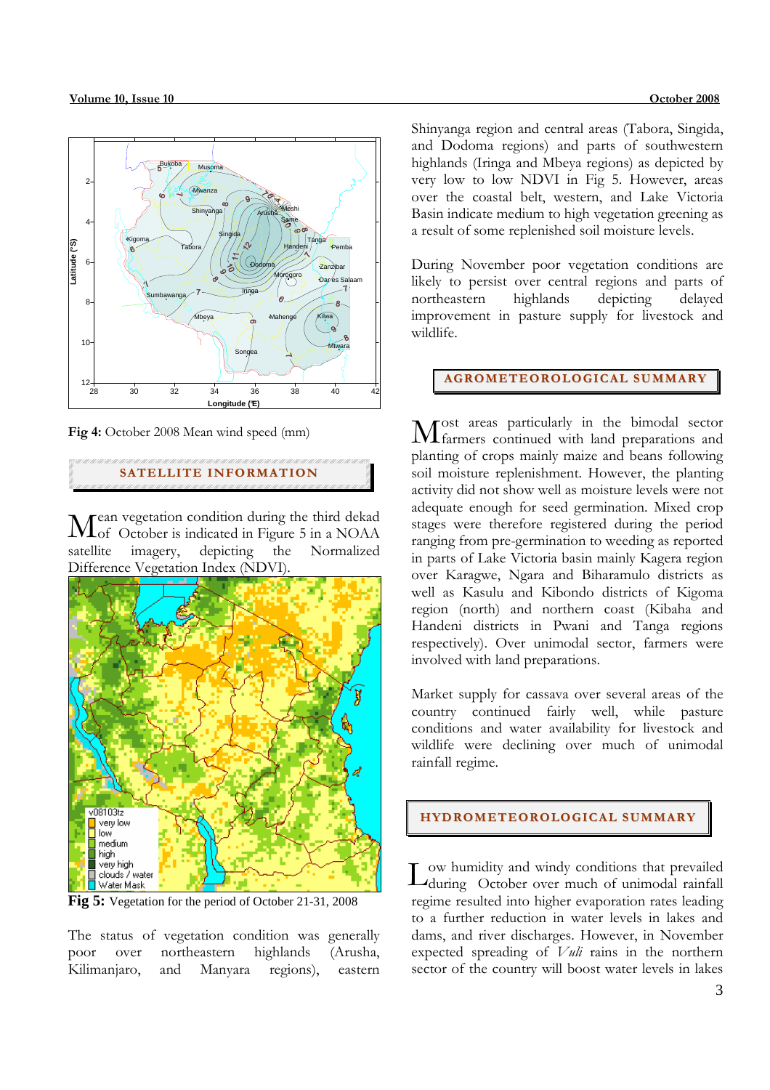

**Fig 4:** October 2008 Mean wind speed (mm)

**SATELLITE INFORMATION**

ean vegetation condition during the third dekad Lof October is indicated in Figure 5 in a NOAA imagery, depicting the Normalized Difference Vegetation Index (NDVI). satellite



**Fig 5:** Vegetation for the period of October 21-31, 2008

The status of vegetation condition was generally poor over northeastern highlands (Arusha, Kilimanjaro, and Manyara regions), eastern

Shinyanga region and central areas (Tabora, Singida, and Dodoma regions) and parts of southwestern highlands (Iringa and Mbeya regions) as depicted by very low to low NDVI in Fig 5. However, areas over the coastal belt, western, and Lake Victoria Basin indicate medium to high vegetation greening as a result of some replenished soil moisture levels.

During November poor vegetation conditions are likely to persist over central regions and parts of northeastern highlands depicting delayed improvement in pasture supply for livestock and wildlife.

## **AGROMETEOROLOGICAL SUMMARY**

ost areas particularly in the bimodal sector Most areas particularly in the bimodal sector<br>
Mfarmers continued with land preparations and planting of crops mainly maize and beans following soil moisture replenishment. However, the planting activity did not show well as moisture levels were not adequate enough for seed germination. Mixed crop stages were therefore registered during the period ranging from pre-germination to weeding as reported in parts of Lake Victoria basin mainly Kagera region over Karagwe, Ngara and Biharamulo districts as well as Kasulu and Kibondo districts of Kigoma region (north) and northern coast (Kibaha and Handeni districts in Pwani and Tanga regions respectively). Over unimodal sector, farmers were involved with land preparations.

Market supply for cassava over several areas of the country continued fairly well, while pasture conditions and water availability for livestock and wildlife were declining over much of unimodal rainfall regime.

## **HYDROMETEOROLOGICAL SUMMARY**

Low humidity and windy conditions that prevailed<br>during October over much of unimodal rainfall during October over much of unimodal rainfall regime resulted into higher evaporation rates leading to a further reduction in water levels in lakes and dams, and river discharges. However, in November expected spreading of *Vuli* rains in the northern sector of the country will boost water levels in lakes